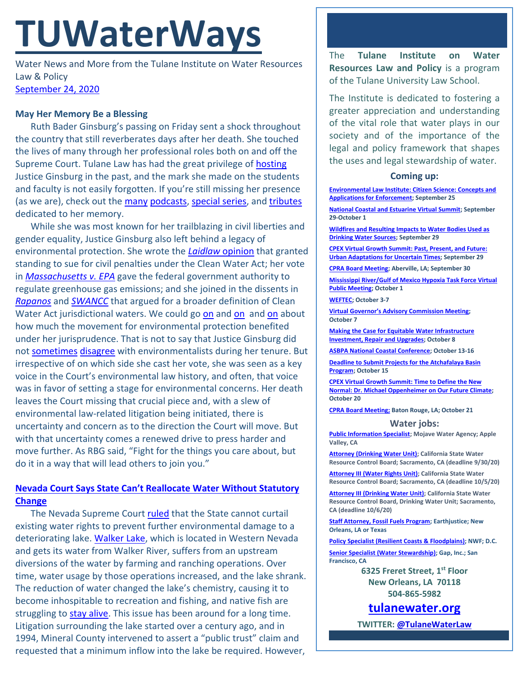# **TUWaterWays**

Water News and More from the Tulane Institute on Water Resources Law & Policy [September 24, 2020](https://thisdayinwaterhistory.wordpress.com/)

### **May Her Memory Be a Blessing**

Ruth Bader Ginsburg's passing on Friday sent a shock throughout the country that still reverberates days after her death. She touched the lives of many through her professional roles both on and off the Supreme Court. Tulane Law has had the great privilege of [hosting](https://law.tulane.edu/news/justice-ginsburg-left-her-mark-tulane-law-students-alumni) Justice Ginsburg in the past, and the mark she made on the students and faculty is not easily forgotten. If you're still missing her presence (as we are), check out the [many](https://podcasts.apple.com/us/podcast/the-ginsburg-tapes/id1442028587) [podcasts,](https://podcasts.apple.com/us/podcast/before-she-was-notorious-clerking-for-ruth-bader-ginsburg/id1456045551?i=1000491855894?i=1000491855894) [special series,](https://www.scotusblog.com/category/special-features/justice-ginsburg-dies-at-87/tributes-to-justice-ruth-bader-ginsburg/) and [tributes](https://www.aclu.org/other/tribute-legacy-ruth-bader-ginsburg-and-wrp-staff) dedicated to her memory.

While she was most known for her trailblazing in civil liberties and gender equality, Justice Ginsburg also left behind a legacy of environmental protection. She wrote the *[Laidlaw](https://www.oyez.org/cases/1999/98-822)* opinion that granted standing to sue for civil penalties under the Clean Water Act; her vote in *[Massachusetts](https://www.supremecourt.gov/opinions/06pdf/05-1120.pdf) v. EPA* gave the federal government authority to regulate greenhouse gas emissions; and she joined in the dissents in *[Rapanos](https://www.oyez.org/cases/2005/04-1034)* and *[SWANCC](https://www.oyez.org/cases/2000/99-1178)* that argued for a broader definition of Clean Water Act jurisdictional waters. We could go [on](https://www.ontheissues.org/Court/Ruth_Bader_Ginsburg_Environment.htm) and on and on about how much the movement for environmental protection benefited under her jurisprudence. That is not to say that Justice Ginsburg did not [sometimes](https://www.oyez.org/cases/2010/10-174) [disagree](https://www.scotusblog.com/2020/06/opinion-analysis-appalachian-trail-no-barrier-for-major-gas-pipeline/) with environmentalists during her tenure. But irrespective of on which side she cast her vote, she was seen as a key voice in the Court's environmental law history, and often, that voice was in favor of setting a stage for environmental concerns. Her death leaves the Court missing that crucial piece and, with a slew of environmental law-related litigation being initiated, there is uncertainty and concern as to the direction the Court will move. But with that uncertainty comes a renewed drive to press harder and move further. As RBG said, "Fight for the things you care about, but do it in a way that will lead others to join you."

## **[Nevada Court Says State Can't Reallocate Water Without Statutory](https://www.youtube.com/watch?v=otCpCn0l4Wo)  [Change](https://www.youtube.com/watch?v=otCpCn0l4Wo)**

The Nevada Supreme Court [ruled](https://www.eenews.net/assets/2020/09/18/document_gw_08.pdf) that the State cannot curtail existing water rights to prevent further environmental damage to a deteriorating lake. [Walker Lake,](https://thenevadaindependent.com/article/nevada-supreme-court-says-state-cannot-change-water-rights-for-public-trust-a-loss-for-environmentalists-county-seeking-to-bring-more-water-to-walker-lake) which is located in Western Nevada and gets its water from Walker River, suffers from an upstream diversions of the water by farming and ranching operations. Over time, water usage by those operations increased, and the lake shrank. The reduction of water changed the lake's chemistry, causing it to become inhospitable to recreation and fishing, and native fish are struggling to [stay alive.](https://www.youtube.com/watch?v=YxvBPH4sArQ) This issue has been around for a long time. Litigation surrounding the lake started over a century ago, and in 1994, Mineral County intervened to assert a "public trust" claim and requested that a minimum inflow into the lake be required. However,

The **Tulane Institute on Water Resources Law and Policy** is a program of the Tulane University Law School.

The Institute is dedicated to fostering a greater appreciation and understanding of the vital role that water plays in our society and of the importance of the legal and policy framework that shapes the uses and legal stewardship of water.

#### **Coming up:**

**[Environmental Law Institute: Citizen Science: Concepts and](https://www.eli.org/events/citizen-science-concepts-and-applications-enforcement)  [Applications for Enforcement;](https://www.eli.org/events/citizen-science-concepts-and-applications-enforcement) September 25**

**[National Coastal and Estuarine Virtual Summit;](https://ww2.eventrebels.com/er/Registration/StepRegInfo.jsp?ActivityID=32973&StepNumber=1&PromotionCode=REG&v=ZTFmMTI1N2QtZjE3OS00YzU4LTg2MDAtYTk4MWFjOTBiNDg3) September 29-October 1**

**[Wildfires and Resulting Impacts to Water Bodies Used as](https://register.gotowebinar.com/register/2152789201095229455)  [Drinking Water Sources;](https://register.gotowebinar.com/register/2152789201095229455) September 29**

**[CPEX Virtual Growth Summit: Past, Present, and Future:](https://virtual-smart-growth-summit-2020.heysummit.com/summit-at-a-glance/)  [Urban Adaptations for Uncertain Times;](https://virtual-smart-growth-summit-2020.heysummit.com/summit-at-a-glance/) September 29**

**[CPRA Board Meeting;](https://coastal.la.gov/calendar/) Aberville, LA; September 30**

**[Mississippi River/Gulf of Mexico Hypoxia Task Force Virtual](https://water-meetings.tetratech.com/Hypoxia/StaticPublic/)  [Public Meeting;](https://water-meetings.tetratech.com/Hypoxia/StaticPublic/) October 1**

**[WEFTEC;](https://www.weftec.org/weftec-2020-coronavirus-update/) October 3-7**

**[Virtual Governor's Advisory Commission Meeting](https://coastal.la.gov/calendar/); October 7**

**[Making the Case for Equitable Water Infrastructure](https://www.rivernetwork.org/events/making-the-case-for-equitable-water-infrastructure-investment-repair-and-upgrades/)  [Investment, Repair and Upgrades;](https://www.rivernetwork.org/events/making-the-case-for-equitable-water-infrastructure-investment-repair-and-upgrades/) October 8**

**[ASBPA National Coastal Conference;](https://asbpa.org/conferences/) October 13-16**

**[Deadline to Submit Projects for the Atchafalaya Basin](https://coastal.la.gov/atchafalaya-basin-program/)  [Program;](https://coastal.la.gov/atchafalaya-basin-program/) October 15**

**[CPEX Virtual Growth Summit: Time to Define the New](https://virtual-smart-growth-summit-2020.heysummit.com/summit-at-a-glance/)  [Normal: Dr. Michael Oppenheimer on Our Future Climate;](https://virtual-smart-growth-summit-2020.heysummit.com/summit-at-a-glance/) October 20**

**[CPRA Board Meeting;](https://coastal.la.gov/calendar/) Baton Rouge, LA; October 21**

#### **Water jobs:**

**[Public Information Specialist;](https://bcwaterjobs.secure.force.com/ViewJob?id=a0C0e00000QT5xVEAT&trk_msg=EBUUV0BNMQ4410R931GVTKES8O&trk_contact=ELSBC2QQ8P52OBICIC1741BEK4&trk_sid=9I414F3USSLPTUPMTCTF7LEMU8&utm_source=listrak&utm_medium=email&utm_term=https%3a%2f%2fbcwaterjobs.secure.force.com%2fViewJob%3fid%3da0C0e00000QT5xVEAT&utm_campaign=National+Daily&utm_content=National+Daily) Mojave Water Agency; Apple Valley, CA**

**[Attorney \(Drinking Water Unit\);](https://jobs.ca.gov/CalHrPublic/Jobs/JobPosting.aspx?JobControlId=215317) California State Water Resource Control Board; Sacramento, CA (deadline 9/30/20)**

**[Attorney III \(Water Rights Unit\);](https://jobs.ca.gov/CalHrPublic/Jobs/JobPosting.aspx?JobControlId=216024) California State Water Resource Control Board; Sacramento, CA (deadline 10/5/20)**

**[Attorney III \(Drinking Water Unit\);](https://jobs.ca.gov/CalHrPublic/Jobs/JobPosting.aspx?JobControlId=216353) California State Water Resource Control Board, Drinking Water Unit; Sacramento, CA (deadline 10/6/20)**

**[Staff Attorney, Fossil Fuels Program;](https://jobs.jobvite.com/earthjustice/job/ogmUcfws?nl=1) Earthjustice; New Orleans, LA or Texas**

**[Policy Specialist \(Resilient Coasts &](https://recruiting.ultipro.com/NAT1047NWF/JobBoard/1ca8346a-33cc-401d-90d9-d7f752fdfd7d/OpportunityDetail?opportunityId=0b0963b4-14c4-44be-9f24-59b9e6b20714&sourceId=993f40fc-778b-4ea4-965d-1b16a1d5a1c8) Floodplains); NWF; D.C.**

**[Senior Specialist \(Water Stewardship\);](https://www.gapinc.com/en-us/jobs/33/88/senior-specialist-water-stewardship) Gap, Inc.; San Francisco, CA** 

> **6325 Freret Street, 1st Floor New Orleans, LA 70118 504-865-5982**

**[tulanewater.org](file:///C:/Users/waterlaw/Downloads/tulanewater.org)**

**TWITTER[: @TulaneWaterLaw](http://www.twitter.com/TulaneWaterLaw)**